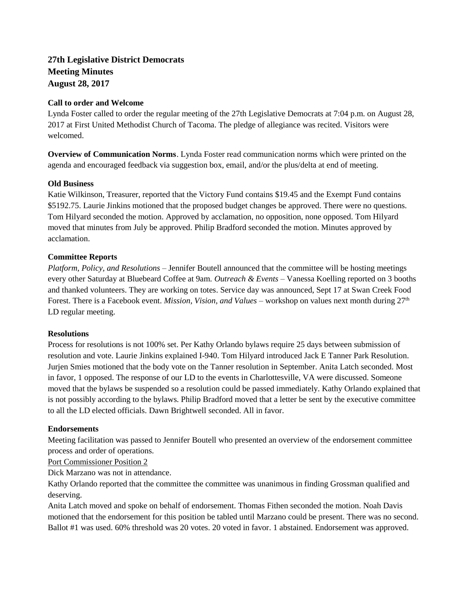# **27th Legislative District Democrats Meeting Minutes August 28, 2017**

### **Call to order and Welcome**

Lynda Foster called to order the regular meeting of the 27th Legislative Democrats at 7:04 p.m. on August 28, 2017 at First United Methodist Church of Tacoma. The pledge of allegiance was recited. Visitors were welcomed.

**Overview of Communication Norms**. Lynda Foster read communication norms which were printed on the agenda and encouraged feedback via suggestion box, email, and/or the plus/delta at end of meeting.

### **Old Business**

Katie Wilkinson, Treasurer, reported that the Victory Fund contains \$19.45 and the Exempt Fund contains \$5192.75. Laurie Jinkins motioned that the proposed budget changes be approved. There were no questions. Tom Hilyard seconded the motion. Approved by acclamation, no opposition, none opposed. Tom Hilyard moved that minutes from July be approved. Philip Bradford seconded the motion. Minutes approved by acclamation.

## **Committee Reports**

*Platform, Policy, and Resolutions* – Jennifer Boutell announced that the committee will be hosting meetings every other Saturday at Bluebeard Coffee at 9am. *Outreach & Events –* Vanessa Koelling reported on 3 booths and thanked volunteers. They are working on totes. Service day was announced, Sept 17 at Swan Creek Food Forest. There is a Facebook event. *Mission, Vision, and Values –* workshop on values next month during 27<sup>th</sup> LD regular meeting.

## **Resolutions**

Process for resolutions is not 100% set. Per Kathy Orlando bylaws require 25 days between submission of resolution and vote. Laurie Jinkins explained I-940. Tom Hilyard introduced Jack E Tanner Park Resolution. Jurjen Smies motioned that the body vote on the Tanner resolution in September. Anita Latch seconded. Most in favor, 1 opposed. The response of our LD to the events in Charlottesville, VA were discussed. Someone moved that the bylaws be suspended so a resolution could be passed immediately. Kathy Orlando explained that is not possibly according to the bylaws. Philip Bradford moved that a letter be sent by the executive committee to all the LD elected officials. Dawn Brightwell seconded. All in favor.

#### **Endorsements**

Meeting facilitation was passed to Jennifer Boutell who presented an overview of the endorsement committee process and order of operations.

Port Commissioner Position 2

Dick Marzano was not in attendance.

Kathy Orlando reported that the committee the committee was unanimous in finding Grossman qualified and deserving.

Anita Latch moved and spoke on behalf of endorsement. Thomas Fithen seconded the motion. Noah Davis motioned that the endorsement for this position be tabled until Marzano could be present. There was no second. Ballot #1 was used. 60% threshold was 20 votes. 20 voted in favor. 1 abstained. Endorsement was approved.